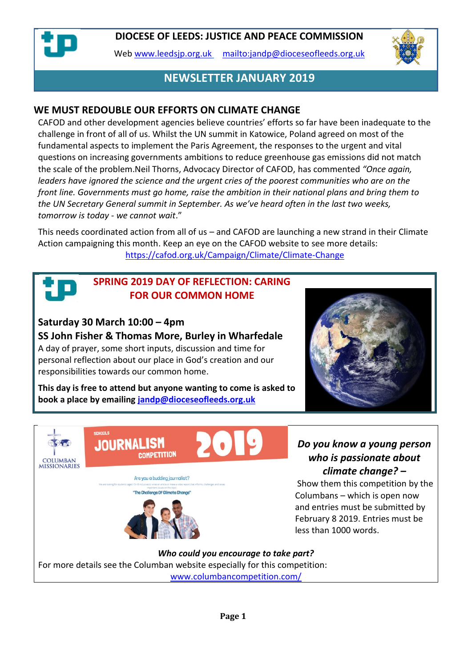

Web [www.leedsjp.org.uk](http://www.leedsjp.org.uk/) <mailto:jandp@dioceseofleeds.org.uk>



# **NEWSLETTER JANUARY 2019**

#### **WE MUST REDOUBLE OUR EFFORTS ON CLIMATE CHANGE**

CAFOD and other development agencies believe countries' efforts so far have been inadequate to the challenge in front of all of us. Whilst the UN summit in Katowice, Poland agreed on most of the fundamental aspects to implement the Paris Agreement, the responses to the urgent and vital questions on increasing governments ambitions to reduce greenhouse gas emissions did not match the scale of the problem.Neil Thorns, Advocacy Director of CAFOD, has commented *"Once again, leaders have ignored the science and the urgent cries of the poorest communities who are on the front line. Governments must go home, raise the ambition in their national plans and bring them to the UN Secretary General summit in September. As we've heard often in the last two weeks, tomorrow is today - we cannot wait*."

This needs coordinated action from all of us – and CAFOD are launching a new strand in their Climate Action campaigning this month. Keep an eye on the CAFOD website to see more details: <https://cafod.org.uk/Campaign/Climate/Climate-Change>

#### **SPRING 2019 DAY OF REFLECTION: CARING FOR OUR COMMON HOME**

#### **Saturday 30 March 10:00 – 4pm**

**SS John Fisher & Thomas More, Burley in Wharfedale**

A day of prayer, some short inputs, discussion and time for personal reflection about our place in God's creation and our responsibilities towards our common home.

**This day is free to attend but anyone wanting to come is asked to book a place by emailing [jandp@dioceseofleeds.org.uk](mailto:jandp@dioceseofleeds.org.uk)**





#### *Do you know a young person who is passionate about climate change? –*

Show them this competition by the Columbans – which is open now and entries must be submitted by February 8 2019. Entries must be less than 1000 words.

*Who could you encourage to take part?* For more details see the Columban website especially for this competition: [www.columbancompetition.com/](http://www.columbancompetition.com/)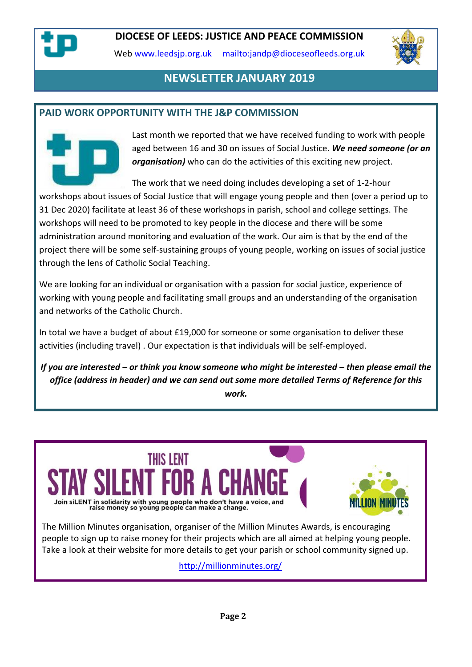

Web [www.leedsjp.org.uk](http://www.leedsjp.org.uk/) <mailto:jandp@dioceseofleeds.org.uk>



# **NEWSLETTER JANUARY 2019**

#### **PAID WORK OPPORTUNITY WITH THE J&P COMMISSION**



Last month we reported that we have received funding to work with people aged between 16 and 30 on issues of Social Justice. *We need someone (or an organisation)* who can do the activities of this exciting new project.

The work that we need doing includes developing a set of 1-2-hour

workshops about issues of Social Justice that will engage young people and then (over a period up to 31 Dec 2020) facilitate at least 36 of these workshops in parish, school and college settings. The workshops will need to be promoted to key people in the diocese and there will be some administration around monitoring and evaluation of the work. Our aim is that by the end of the project there will be some self-sustaining groups of young people, working on issues of social justice through the lens of Catholic Social Teaching.

We are looking for an individual or organisation with a passion for social justice, experience of working with young people and facilitating small groups and an understanding of the organisation and networks of the Catholic Church.

In total we have a budget of about £19,000 for someone or some organisation to deliver these activities (including travel) . Our expectation is that individuals will be self-employed.

*If you are interested – or think you know someone who might be interested – then please email the office (address in header) and we can send out some more detailed Terms of Reference for this work.*



people to sign up to raise money for their projects which are all aimed at helping young people. Take a look at their website for more details to get your parish or school community signed up.

<http://millionminutes.org/>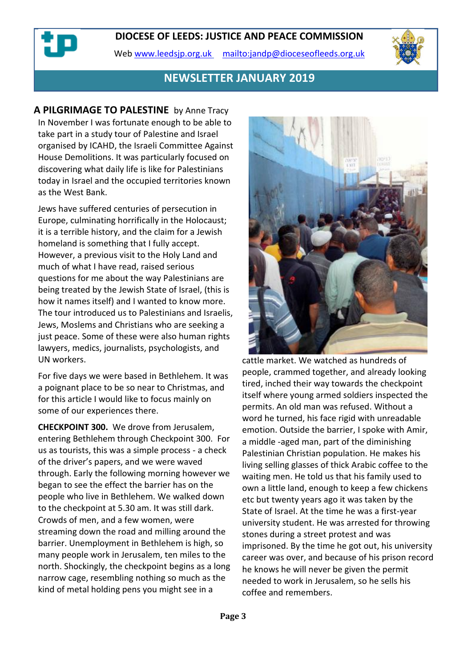Web [www.leedsjp.org.uk](http://www.leedsjp.org.uk/) <mailto:jandp@dioceseofleeds.org.uk>



#### **NEWSLETTER JANUARY 2019**

**A PILGRIMAGE TO PALESTINE** by Anne Tracy In November I was fortunate enough to be able to take part in a study tour of Palestine and Israel organised by ICAHD, the Israeli Committee Against House Demolitions. It was particularly focused on discovering what daily life is like for Palestinians today in Israel and the occupied territories known as the West Bank.

Jews have suffered centuries of persecution in Europe, culminating horrifically in the Holocaust; it is a terrible history, and the claim for a Jewish homeland is something that I fully accept. However, a previous visit to the Holy Land and much of what I have read, raised serious questions for me about the way Palestinians are being treated by the Jewish State of Israel, (this is how it names itself) and I wanted to know more. The tour introduced us to Palestinians and Israelis, Jews, Moslems and Christians who are seeking a just peace. Some of these were also human rights lawyers, medics, journalists, psychologists, and UN workers.

For five days we were based in Bethlehem. It was a poignant place to be so near to Christmas, and for this article I would like to focus mainly on some of our experiences there.

**CHECKPOINT 300.** We drove from Jerusalem, entering Bethlehem through Checkpoint 300. For us as tourists, this was a simple process - a check of the driver's papers, and we were waved through. Early the following morning however we began to see the effect the barrier has on the people who live in Bethlehem. We walked down to the checkpoint at 5.30 am. It was still dark. Crowds of men, and a few women, were streaming down the road and milling around the barrier. Unemployment in Bethlehem is high, so many people work in Jerusalem, ten miles to the north. Shockingly, the checkpoint begins as a long narrow cage, resembling nothing so much as the kind of metal holding pens you might see in a



cattle market. We watched as hundreds of people, crammed together, and already looking tired, inched their way towards the checkpoint itself where young armed soldiers inspected the permits. An old man was refused. Without a word he turned, his face rigid with unreadable emotion. Outside the barrier, I spoke with Amir, a middle -aged man, part of the diminishing Palestinian Christian population. He makes his living selling glasses of thick Arabic coffee to the waiting men. He told us that his family used to own a little land, enough to keep a few chickens etc but twenty years ago it was taken by the State of Israel. At the time he was a first-year university student. He was arrested for throwing stones during a street protest and was imprisoned. By the time he got out, his university career was over, and because of his prison record he knows he will never be given the permit needed to work in Jerusalem, so he sells his coffee and remembers.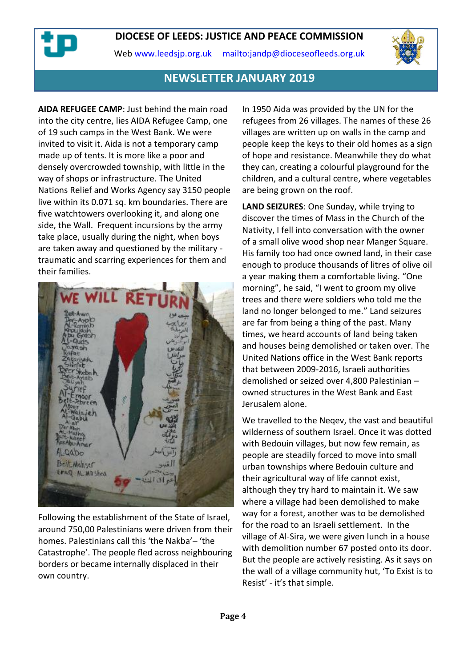



#### **NEWSLETTER JANUARY 2019**

**AIDA REFUGEE CAMP**: Just behind the main road into the city centre, lies AIDA Refugee Camp, one of 19 such camps in the West Bank. We were invited to visit it. Aida is not a temporary camp made up of tents. It is more like a poor and densely overcrowded township, with little in the way of shops or infrastructure. The United Nations Relief and Works Agency say 3150 people live within its 0.071 sq. km boundaries. There are five watchtowers overlooking it, and along one side, the Wall. Frequent incursions by the army take place, usually during the night, when boys are taken away and questioned by the military traumatic and scarring experiences for them and their families.



Following the establishment of the State of Israel, around 750,00 Palestinians were driven from their homes. Palestinians call this 'the Nakba'– 'the Catastrophe'. The people fled across neighbouring borders or became internally displaced in their own country.

In 1950 Aida was provided by the UN for the refugees from 26 villages. The names of these 26 villages are written up on walls in the camp and people keep the keys to their old homes as a sign of hope and resistance. Meanwhile they do what they can, creating a colourful playground for the children, and a cultural centre, where vegetables are being grown on the roof.

**LAND SEIZURES**: One Sunday, while trying to discover the times of Mass in the Church of the Nativity, I fell into conversation with the owner of a small olive wood shop near Manger Square. His family too had once owned land, in their case enough to produce thousands of litres of olive oil a year making them a comfortable living. "One morning", he said, "I went to groom my olive trees and there were soldiers who told me the land no longer belonged to me." Land seizures are far from being a thing of the past. Many times, we heard accounts of land being taken and houses being demolished or taken over. The United Nations office in the West Bank reports that between 2009-2016, Israeli authorities demolished or seized over 4,800 Palestinian – owned structures in the West Bank and East Jerusalem alone.

We travelled to the Neqev, the vast and beautiful wilderness of southern Israel. Once it was dotted with Bedouin villages, but now few remain, as people are steadily forced to move into small urban townships where Bedouin culture and their agricultural way of life cannot exist, although they try hard to maintain it. We saw where a village had been demolished to make way for a forest, another was to be demolished for the road to an Israeli settlement. In the village of Al-Sira, we were given lunch in a house with demolition number 67 posted onto its door. But the people are actively resisting. As it says on the wall of a village community hut, 'To Exist is to Resist' - it's that simple.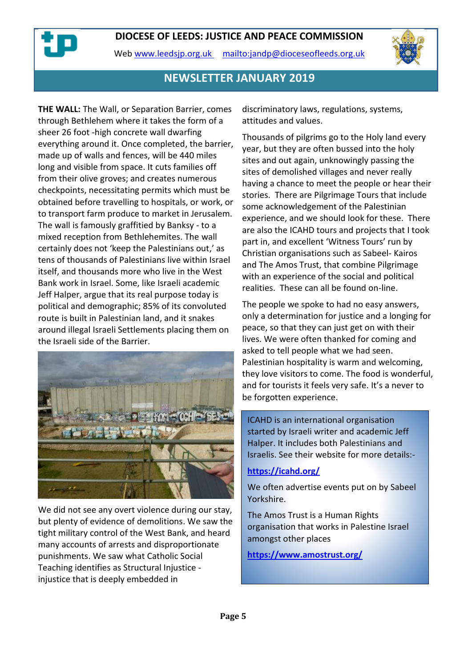



# **NEWSLETTER JANUARY 2019**

**THE WALL:** The Wall, or Separation Barrier, comes through Bethlehem where it takes the form of a sheer 26 foot -high concrete wall dwarfing everything around it. Once completed, the barrier, made up of walls and fences, will be 440 miles long and visible from space. It cuts families off from their olive groves; and creates numerous checkpoints, necessitating permits which must be obtained before travelling to hospitals, or work, or to transport farm produce to market in Jerusalem. The wall is famously graffitied by Banksy - to a mixed reception from Bethlehemites. The wall certainly does not 'keep the Palestinians out,' as tens of thousands of Palestinians live within Israel itself, and thousands more who live in the West Bank work in Israel. Some, like Israeli academic Jeff Halper, argue that its real purpose today is political and demographic; 85% of its convoluted route is built in Palestinian land, and it snakes around illegal Israeli Settlements placing them on the Israeli side of the Barrier.



We did not see any overt violence during our stay, but plenty of evidence of demolitions. We saw the tight military control of the West Bank, and heard many accounts of arrests and disproportionate punishments. We saw what Catholic Social Teaching identifies as Structural Injustice injustice that is deeply embedded in

discriminatory laws, regulations, systems, attitudes and values.

Thousands of pilgrims go to the Holy land every year, but they are often bussed into the holy sites and out again, unknowingly passing the sites of demolished villages and never really having a chance to meet the people or hear their stories. There are Pilgrimage Tours that include some acknowledgement of the Palestinian experience, and we should look for these. There are also the ICAHD tours and projects that I took part in, and excellent 'Witness Tours' run by Christian organisations such as Sabeel- Kairos and The Amos Trust, that combine Pilgrimage with an experience of the social and political realities. These can all be found on-line.

The people we spoke to had no easy answers, only a determination for justice and a longing for peace, so that they can just get on with their lives. We were often thanked for coming and asked to tell people what we had seen. Palestinian hospitality is warm and welcoming, they love visitors to come. The food is wonderful, and for tourists it feels very safe. It's a never to be forgotten experience.

ICAHD is an international organisation started by Israeli writer and academic Jeff Halper. It includes both Palestinians and Israelis. See their website for more details:-

#### **<https://icahd.org/>**

We often advertise events put on by Sabeel Yorkshire.

The Amos Trust is a Human Rights organisation that works in Palestine Israel amongst other places

**<https://www.amostrust.org/>**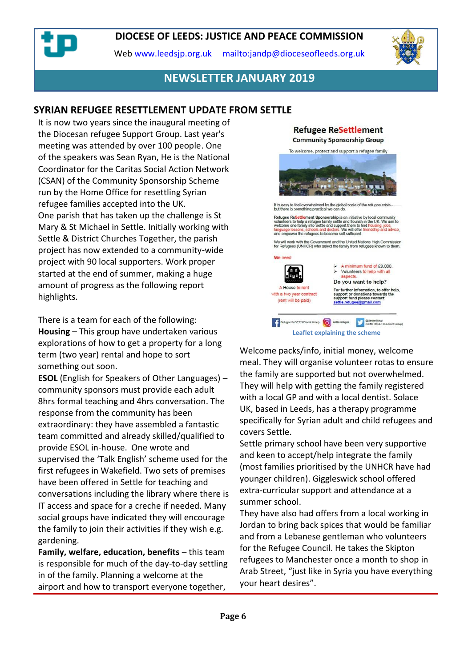Web [www.leedsjp.org.uk](http://www.leedsjp.org.uk/) <mailto:jandp@dioceseofleeds.org.uk>



#### **NEWSLETTER JANUARY 2019**

#### **SYRIAN REFUGEE RESETTLEMENT UPDATE FROM SETTLE**

It is now two years since the inaugural meeting of the Diocesan refugee Support Group. Last year's meeting was attended by over 100 people. One of the speakers was Sean Ryan, He is the National Coordinator for the Caritas Social Action Network (CSAN) of the Community Sponsorship Scheme run by the Home Office for resettling Syrian refugee families accepted into the UK. One parish that has taken up the challenge is St Mary & St Michael in Settle. Initially working with Settle & District Churches Together, the parish project has now extended to a community-wide project with 90 local supporters. Work proper started at the end of summer, making a huge amount of progress as the following report highlights.

There is a team for each of the following: **Housing** – This group have undertaken various explorations of how to get a property for a long term (two year) rental and hope to sort something out soon.

**ESOL** (English for Speakers of Other Languages) – community sponsors must provide each adult 8hrs formal teaching and 4hrs conversation. The response from the community has been extraordinary: they have assembled a fantastic team committed and already skilled/qualified to provide ESOL in-house. One wrote and supervised the 'Talk English' scheme used for the first refugees in Wakefield. Two sets of premises have been offered in Settle for teaching and conversations including the library where there is IT access and space for a creche if needed. Many social groups have indicated they will encourage the family to join their activities if they wish e.g. gardening.

**Family, welfare, education, benefits** – this team is responsible for much of the day-to-day settling in of the family. Planning a welcome at the airport and how to transport everyone together,

#### **Refugee ReSettlement Community Sponsorship Group**



Welcome packs/info, initial money, welcome meal. They will organise volunteer rotas to ensure the family are supported but not overwhelmed. They will help with getting the family registered with a local GP and with a local dentist. Solace UK, based in Leeds, has a therapy programme specifically for Syrian adult and child refugees and covers Settle.

Settle primary school have been very supportive and keen to accept/help integrate the family (most families prioritised by the UNHCR have had younger children). Giggleswick school offered extra-curricular support and attendance at a summer school.

They have also had offers from a local working in Jordan to bring back spices that would be familiar and from a Lebanese gentleman who volunteers for the Refugee Council. He takes the Skipton refugees to Manchester once a month to shop in Arab Street, "just like in Syria you have everything your heart desires".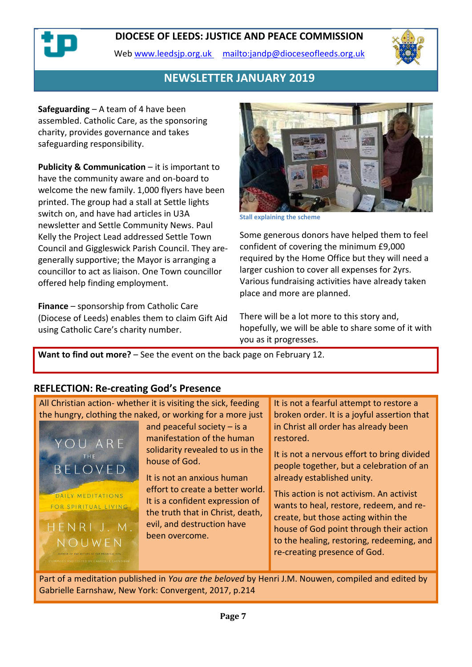Web [www.leedsjp.org.uk](http://www.leedsjp.org.uk/) <mailto:jandp@dioceseofleeds.org.uk>



# **NEWSLETTER JANUARY 2019**

**Safeguarding** – A team of 4 have been assembled. Catholic Care, as the sponsoring charity, provides governance and takes safeguarding responsibility.

**Publicity & Communication** – it is important to have the community aware and on-board to welcome the new family. 1,000 flyers have been printed. The group had a stall at Settle lights switch on, and have had articles in U3A newsletter and Settle Community News. Paul Kelly the Project Lead addressed Settle Town Council and Giggleswick Parish Council. They aregenerally supportive; the Mayor is arranging a councillor to act as liaison. One Town councillor offered help finding employment.

**Finance** – sponsorship from Catholic Care (Diocese of Leeds) enables them to claim Gift Aid using Catholic Care's charity number.



**Stall explaining the scheme**

Some generous donors have helped them to feel confident of covering the minimum £9,000 required by the Home Office but they will need a larger cushion to cover all expenses for 2yrs. Various fundraising activities have already taken place and more are planned.

There will be a lot more to this story and, hopefully, we will be able to share some of it with you as it progresses.

**Want to find out more?** – See the event on the back page on February 12.

#### **REFLECTION: Re-creating God's Presence**

| All Christian action- whether it is visiting the sick, feeding                                                                            |                                                                                                                                                                                                                                                                                                           | It is not a fearful attempt to restore a                                                                                                                                                                                                                                                                                                                                                                                         |
|-------------------------------------------------------------------------------------------------------------------------------------------|-----------------------------------------------------------------------------------------------------------------------------------------------------------------------------------------------------------------------------------------------------------------------------------------------------------|----------------------------------------------------------------------------------------------------------------------------------------------------------------------------------------------------------------------------------------------------------------------------------------------------------------------------------------------------------------------------------------------------------------------------------|
| the hungry, clothing the naked, or working for a more just                                                                                |                                                                                                                                                                                                                                                                                                           | broken order. It is a joyful assertion that                                                                                                                                                                                                                                                                                                                                                                                      |
| YOU ARE<br>THE<br>BELOVED<br>DAILY MEDITATIONS<br>FOR SPIRITUAL LIVING<br>HENRIJ.M.<br>NOUWFN<br>AUTHOR OF THE RETURN OF THE PRODICAL SON | and peaceful society $-$ is a<br>manifestation of the human<br>solidarity revealed to us in the<br>house of God.<br>It is not an anxious human<br>effort to create a better world.<br>It is a confident expression of<br>the truth that in Christ, death,<br>evil, and destruction have<br>been overcome. | in Christ all order has already been<br>restored.<br>It is not a nervous effort to bring divided<br>people together, but a celebration of an<br>already established unity.<br>This action is not activism. An activist<br>wants to heal, restore, redeem, and re-<br>create, but those acting within the<br>house of God point through their action<br>to the healing, restoring, redeeming, and<br>re-creating presence of God. |
| COMPILED AND EDITED BY CABRIELLE EARNSHAW                                                                                                 |                                                                                                                                                                                                                                                                                                           |                                                                                                                                                                                                                                                                                                                                                                                                                                  |

Part of a meditation published in *You are the beloved* by Henri J.M. Nouwen, compiled and edited by Gabrielle Earnshaw, New York: Convergent, 2017, p.214